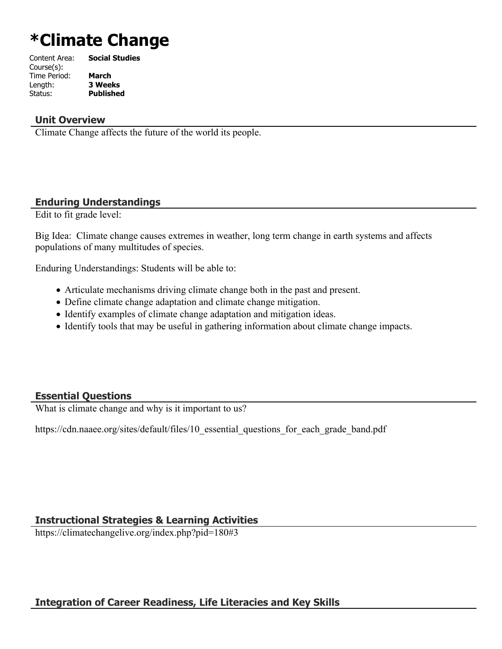# **\*Climate Change**

| Content Area: | <b>Social Studies</b> |
|---------------|-----------------------|
| Course(s):    |                       |
| Time Period:  | <b>March</b>          |
| Length:       | <b>3 Weeks</b>        |
| Status:       | <b>Published</b>      |
|               |                       |

# **Unit Overview**

Climate Change affects the future of the world its people.

# **Enduring Understandings**

Edit to fit grade level:

Big Idea: Climate change causes extremes in weather, long term change in earth systems and affects populations of many multitudes of species.

Enduring Understandings: Students will be able to:

- Articulate mechanisms driving climate change both in the past and present.
- Define climate change adaptation and climate change mitigation.
- Identify examples of climate change adaptation and mitigation ideas.
- Identify tools that may be useful in gathering information about climate change impacts.

# **Essential Questions**

What is climate change and why is it important to us?

https://cdn.naaee.org/sites/default/files/10 essential questions for each grade band.pdf

# **Instructional Strategies & Learning Activities**

https://climatechangelive.org/index.php?pid=180#3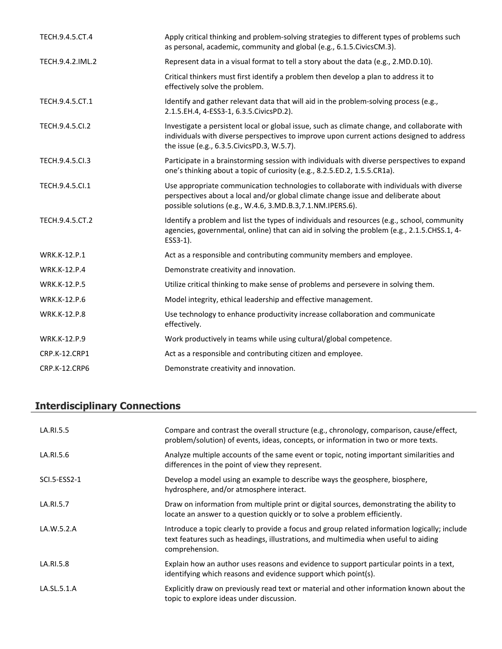| TECH.9.4.5.CT.4     | Apply critical thinking and problem-solving strategies to different types of problems such<br>as personal, academic, community and global (e.g., 6.1.5. Civics CM.3).                                                                        |
|---------------------|----------------------------------------------------------------------------------------------------------------------------------------------------------------------------------------------------------------------------------------------|
| TECH.9.4.2.IML.2    | Represent data in a visual format to tell a story about the data (e.g., 2.MD.D.10).                                                                                                                                                          |
|                     | Critical thinkers must first identify a problem then develop a plan to address it to<br>effectively solve the problem.                                                                                                                       |
| TECH.9.4.5.CT.1     | Identify and gather relevant data that will aid in the problem-solving process (e.g.,<br>2.1.5.EH.4, 4-ESS3-1, 6.3.5.CivicsPD.2).                                                                                                            |
| TECH.9.4.5.Cl.2     | Investigate a persistent local or global issue, such as climate change, and collaborate with<br>individuals with diverse perspectives to improve upon current actions designed to address<br>the issue (e.g., 6.3.5. Civics PD.3, W.5.7).    |
| TECH.9.4.5.Cl.3     | Participate in a brainstorming session with individuals with diverse perspectives to expand<br>one's thinking about a topic of curiosity (e.g., 8.2.5.ED.2, 1.5.5.CR1a).                                                                     |
| TECH.9.4.5.Cl.1     | Use appropriate communication technologies to collaborate with individuals with diverse<br>perspectives about a local and/or global climate change issue and deliberate about<br>possible solutions (e.g., W.4.6, 3.MD.B.3, 7.1.NM.IPERS.6). |
| TECH.9.4.5.CT.2     | Identify a problem and list the types of individuals and resources (e.g., school, community<br>agencies, governmental, online) that can aid in solving the problem (e.g., 2.1.5.CHSS.1, 4-<br>ESS3-1).                                       |
| WRK.K-12.P.1        | Act as a responsible and contributing community members and employee.                                                                                                                                                                        |
| WRK.K-12.P.4        | Demonstrate creativity and innovation.                                                                                                                                                                                                       |
| <b>WRK.K-12.P.5</b> | Utilize critical thinking to make sense of problems and persevere in solving them.                                                                                                                                                           |
| <b>WRK.K-12.P.6</b> | Model integrity, ethical leadership and effective management.                                                                                                                                                                                |
| <b>WRK.K-12.P.8</b> | Use technology to enhance productivity increase collaboration and communicate<br>effectively.                                                                                                                                                |
| WRK.K-12.P.9        | Work productively in teams while using cultural/global competence.                                                                                                                                                                           |
| CRP.K-12.CRP1       | Act as a responsible and contributing citizen and employee.                                                                                                                                                                                  |
| CRP.K-12.CRP6       | Demonstrate creativity and innovation.                                                                                                                                                                                                       |

# **Interdisciplinary Connections**

| LA.RI.5.5    | Compare and contrast the overall structure (e.g., chronology, comparison, cause/effect,<br>problem/solution) of events, ideas, concepts, or information in two or more texts.                          |
|--------------|--------------------------------------------------------------------------------------------------------------------------------------------------------------------------------------------------------|
| LA.RI.5.6    | Analyze multiple accounts of the same event or topic, noting important similarities and<br>differences in the point of view they represent.                                                            |
| SCI.5-ESS2-1 | Develop a model using an example to describe ways the geosphere, biosphere,<br>hydrosphere, and/or atmosphere interact.                                                                                |
| LA.RI.5.7    | Draw on information from multiple print or digital sources, demonstrating the ability to<br>locate an answer to a question quickly or to solve a problem efficiently.                                  |
| LA.W.5.2.A   | Introduce a topic clearly to provide a focus and group related information logically; include<br>text features such as headings, illustrations, and multimedia when useful to aiding<br>comprehension. |
| LA.RI.5.8    | Explain how an author uses reasons and evidence to support particular points in a text,<br>identifying which reasons and evidence support which point(s).                                              |
| LA.SL.5.1.A  | Explicitly draw on previously read text or material and other information known about the<br>topic to explore ideas under discussion.                                                                  |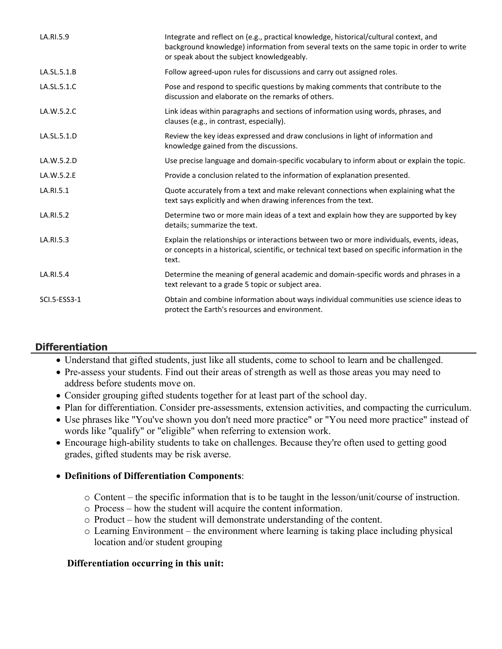| LA.RI.5.9           | Integrate and reflect on (e.g., practical knowledge, historical/cultural context, and<br>background knowledge) information from several texts on the same topic in order to write<br>or speak about the subject knowledgeably. |
|---------------------|--------------------------------------------------------------------------------------------------------------------------------------------------------------------------------------------------------------------------------|
| LA.SL.5.1.B         | Follow agreed-upon rules for discussions and carry out assigned roles.                                                                                                                                                         |
| LA.SL.5.1.C         | Pose and respond to specific questions by making comments that contribute to the<br>discussion and elaborate on the remarks of others.                                                                                         |
| LA.W.5.2.C          | Link ideas within paragraphs and sections of information using words, phrases, and<br>clauses (e.g., in contrast, especially).                                                                                                 |
| LA.SL.5.1.D         | Review the key ideas expressed and draw conclusions in light of information and<br>knowledge gained from the discussions.                                                                                                      |
| LA.W.5.2.D          | Use precise language and domain-specific vocabulary to inform about or explain the topic.                                                                                                                                      |
| LA.W.5.2.E          | Provide a conclusion related to the information of explanation presented.                                                                                                                                                      |
| LA.RI.5.1           | Quote accurately from a text and make relevant connections when explaining what the<br>text says explicitly and when drawing inferences from the text.                                                                         |
| LA.RI.5.2           | Determine two or more main ideas of a text and explain how they are supported by key<br>details; summarize the text.                                                                                                           |
| LA.RI.5.3           | Explain the relationships or interactions between two or more individuals, events, ideas,<br>or concepts in a historical, scientific, or technical text based on specific information in the<br>text.                          |
| LA.RI.5.4           | Determine the meaning of general academic and domain-specific words and phrases in a<br>text relevant to a grade 5 topic or subject area.                                                                                      |
| <b>SCI.5-ESS3-1</b> | Obtain and combine information about ways individual communities use science ideas to<br>protect the Earth's resources and environment.                                                                                        |

# **Differentiation**

- Understand that gifted students, just like all students, come to school to learn and be challenged.
- Pre-assess your students. Find out their areas of strength as well as those areas you may need to address before students move on.
- Consider grouping gifted students together for at least part of the school day.
- Plan for differentiation. Consider pre-assessments, extension activities, and compacting the curriculum.
- Use phrases like "You've shown you don't need more practice" or "You need more practice" instead of words like "qualify" or "eligible" when referring to extension work.
- Encourage high-ability students to take on challenges. Because they're often used to getting good grades, gifted students may be risk averse.

# **Definitions of Differentiation Components**:

- o Content the specific information that is to be taught in the lesson/unit/course of instruction.
- o Process how the student will acquire the content information.
- o Product how the student will demonstrate understanding of the content.
- o Learning Environment the environment where learning is taking place including physical location and/or student grouping

# **Differentiation occurring in this unit:**